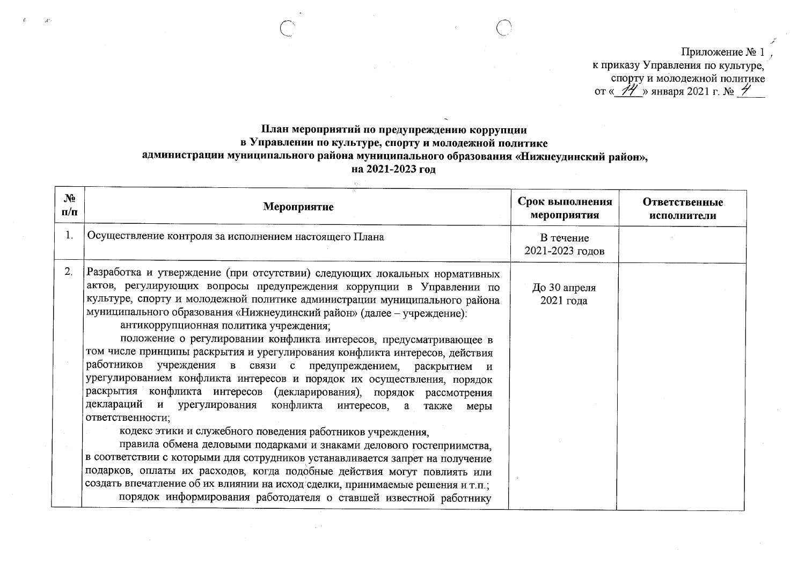Приложение № 1 к приказу Управления по культуре, спорту и молодежной политике<br>or « $\frac{\gamma}{\gamma}$ » января 2021 г. №

## План мероприятий по предупреждению коррупции в Управлении по культуре, спорту и молодежной политике администрации муниципального района муниципального образования «Нижнеудинский район», на 2021-2023 год

| $\mathbf{N}$ <sup>o</sup><br>$\Pi/\Pi$ | Мероприятие                                                                                                                                                                                                                                                                                                                                                                                                                                                                                                                                                                                                                                                                                                                                                                                                                                                                                                                                                                                                                                                                                                                | Срок выполнения<br>мероприятия | <b>Ответственные</b><br>исполнители |
|----------------------------------------|----------------------------------------------------------------------------------------------------------------------------------------------------------------------------------------------------------------------------------------------------------------------------------------------------------------------------------------------------------------------------------------------------------------------------------------------------------------------------------------------------------------------------------------------------------------------------------------------------------------------------------------------------------------------------------------------------------------------------------------------------------------------------------------------------------------------------------------------------------------------------------------------------------------------------------------------------------------------------------------------------------------------------------------------------------------------------------------------------------------------------|--------------------------------|-------------------------------------|
| 1.                                     | Осуществление контроля за исполнением настоящего Плана                                                                                                                                                                                                                                                                                                                                                                                                                                                                                                                                                                                                                                                                                                                                                                                                                                                                                                                                                                                                                                                                     | В течение<br>2021-2023 годов   |                                     |
| 2.                                     | Разработка и утверждение (при отсутствии) следующих локальных нормативных<br>актов, регулирующих вопросы предупреждения коррупции в Управлении по<br>культуре, спорту и молодежной политике администрации муниципального района<br>муниципального образования «Нижнеудинский район» (далее - учреждение):<br>антикоррупционная политика учреждения;<br>положение о регулировании конфликта интересов, предусматривающее в<br>том числе принципы раскрытия и урегулирования конфликта интересов, действия<br>работников учреждения в связи с предупреждением, раскрытием и<br>урегулированием конфликта интересов и порядок их осуществления, порядок<br>раскрытия конфликта интересов (декларирования), порядок рассмотрения<br>деклараций и урегулирования конфликта интересов, а<br>также<br>меры<br>ответственности;<br>кодекс этики и служебного поведения работников учреждения,<br>правила обмена деловыми подарками и знаками делового гостеприимства,<br>в соответствии с которыми для сотрудников устанавливается запрет на получение<br>подарков, оплаты их расходов, когда подобные действия могут повлиять или | До 30 апреля<br>2021 года      |                                     |
|                                        | создать впечатление об их влиянии на исход сделки, принимаемые решения и т.п.;<br>порядок информирования работодателя о ставшей известной работнику                                                                                                                                                                                                                                                                                                                                                                                                                                                                                                                                                                                                                                                                                                                                                                                                                                                                                                                                                                        |                                |                                     |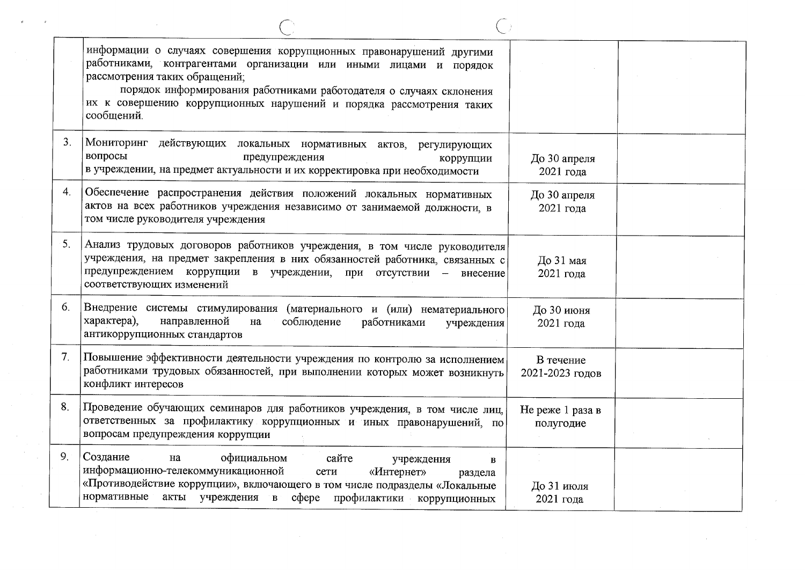|                | информации о случаях совершения коррупционных правонарушений другими<br>работниками, контрагентами организации или иными лицами и порядок<br>рассмотрения таких обращений;<br>порядок информирования работниками работодателя о случаях склонения<br>их к совершению коррупционных нарушений и порядка рассмотрения таких<br>сообщений. |                               |  |
|----------------|-----------------------------------------------------------------------------------------------------------------------------------------------------------------------------------------------------------------------------------------------------------------------------------------------------------------------------------------|-------------------------------|--|
| 3.             | Мониторинг действующих локальных нормативных актов, регулирующих<br>вопросы<br>предупреждения<br>коррупции<br>в учреждении, на предмет актуальности и их корректировка при необходимости                                                                                                                                                | До 30 апреля<br>2021 года     |  |
| 4.             | Обеспечение распространения действия положений локальных нормативных<br>актов на всех работников учреждения независимо от занимаемой должности, в<br>том числе руководителя учреждения                                                                                                                                                  | До 30 апреля<br>2021 года     |  |
| 5 <sub>1</sub> | Анализ трудовых договоров работников учреждения, в том числе руководителя<br>учреждения, на предмет закрепления в них обязанностей работника, связанных с<br>предупреждением коррупции в учреждении, при отсутствии - внесение<br>соответствующих изменений                                                                             | До 31 мая<br>2021 года        |  |
| 6.             | Внедрение системы стимулирования (материального и (или) нематериального<br>характера),<br>направленной<br>соблюдение<br>работниками<br>на<br>учреждения<br>антикоррупционных стандартов                                                                                                                                                 | До 30 июня<br>2021 года       |  |
| 7 <sub>1</sub> | Повышение эффективности деятельности учреждения по контролю за исполнением<br>работниками трудовых обязанностей, при выполнении которых может возникнуть<br>конфликт интересов                                                                                                                                                          | В течение<br>2021-2023 годов  |  |
| 8.             | Проведение обучающих семинаров для работников учреждения, в том числе лиц,<br>ответственных за профилактику коррупционных и иных правонарушений, по<br>вопросам предупреждения коррупции                                                                                                                                                | Не реже 1 раза в<br>полугодие |  |
| 9.             | Создание<br>официальном<br>сайте<br>на<br>учреждения<br>B<br>информационно-телекоммуникационной<br>«Интернет»<br>сети<br>раздела<br>«Противодействие коррупции», включающего в том числе подразделы «Локальные<br>нормативные акты учреждения в сфере профилактики коррупционных                                                        | До 31 июля<br>2021 года       |  |

 $\sim 10^{-11}$ 

 $\sim 10^{-1}$ 

 $\partial$